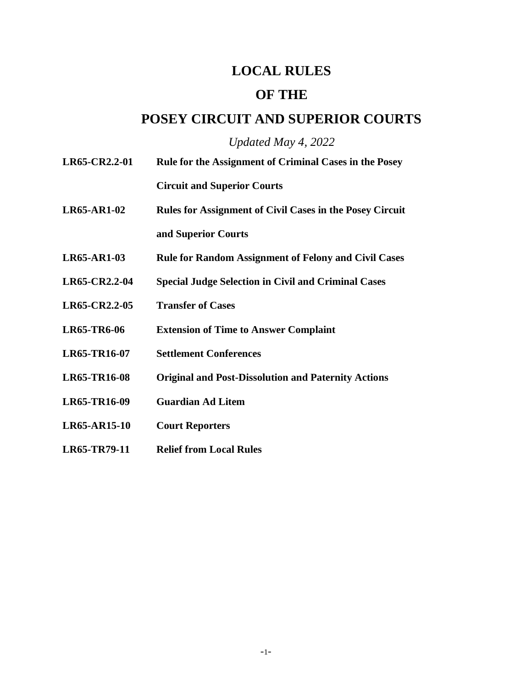# **LOCAL RULES**

# **OF THE**

# **POSEY CIRCUIT AND SUPERIOR COURTS**

*Updated May 4, 2022*

- **LR65-CR2.2-01 Rule for the Assignment of Criminal Cases in the Posey Circuit and Superior Courts**
- **LR65-AR1-02 Rules for Assignment of Civil Cases in the Posey Circuit and Superior Courts**
- **LR65-AR1-03 Rule for Random Assignment of Felony and Civil Cases**
- **LR65-CR2.2-04 Special Judge Selection in Civil and Criminal Cases**
- **LR65-CR2.2-05 Transfer of Cases**
- **LR65-TR6-06 Extension of Time to Answer Complaint**
- **LR65-TR16-07 Settlement Conferences**
- **LR65-TR16-08 Original and Post-Dissolution and Paternity Actions**
- **LR65-TR16-09 Guardian Ad Litem**
- **LR65-AR15-10 Court Reporters**
- **LR65-TR79-11 Relief from Local Rules**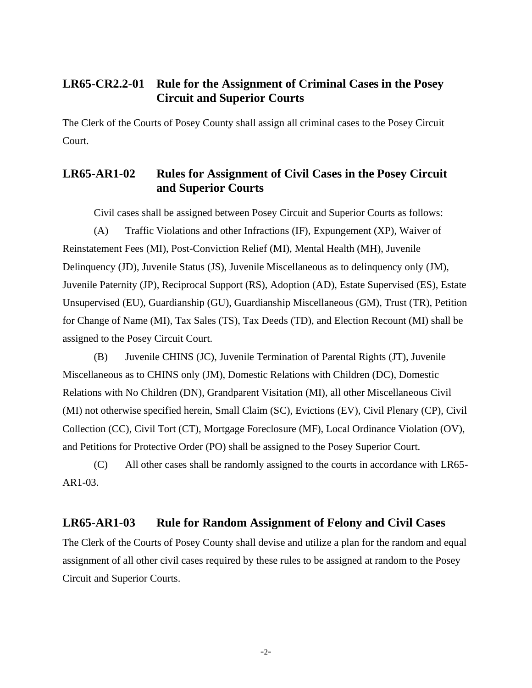# **LR65-CR2.2-01 Rule for the Assignment of Criminal Cases in the Posey Circuit and Superior Courts**

The Clerk of the Courts of Posey County shall assign all criminal cases to the Posey Circuit Court.

# **LR65-AR1-02 Rules for Assignment of Civil Cases in the Posey Circuit and Superior Courts**

Civil cases shall be assigned between Posey Circuit and Superior Courts as follows:

(A) Traffic Violations and other Infractions (IF), Expungement (XP), Waiver of Reinstatement Fees (MI), Post-Conviction Relief (MI), Mental Health (MH), Juvenile Delinquency (JD), Juvenile Status (JS), Juvenile Miscellaneous as to delinquency only (JM), Juvenile Paternity (JP), Reciprocal Support (RS), Adoption (AD), Estate Supervised (ES), Estate Unsupervised (EU), Guardianship (GU), Guardianship Miscellaneous (GM), Trust (TR), Petition for Change of Name (MI), Tax Sales (TS), Tax Deeds (TD), and Election Recount (MI) shall be assigned to the Posey Circuit Court.

(B) Juvenile CHINS (JC), Juvenile Termination of Parental Rights (JT), Juvenile Miscellaneous as to CHINS only (JM), Domestic Relations with Children (DC), Domestic Relations with No Children (DN), Grandparent Visitation (MI), all other Miscellaneous Civil (MI) not otherwise specified herein, Small Claim (SC), Evictions (EV), Civil Plenary (CP), Civil Collection (CC), Civil Tort (CT), Mortgage Foreclosure (MF), Local Ordinance Violation (OV), and Petitions for Protective Order (PO) shall be assigned to the Posey Superior Court.

(C) All other cases shall be randomly assigned to the courts in accordance with LR65- AR1-03.

#### **LR65-AR1-03 Rule for Random Assignment of Felony and Civil Cases**

The Clerk of the Courts of Posey County shall devise and utilize a plan for the random and equal assignment of all other civil cases required by these rules to be assigned at random to the Posey Circuit and Superior Courts.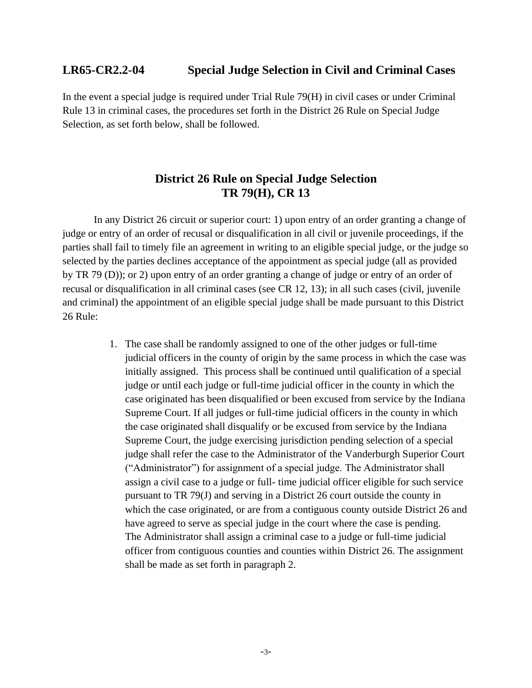## **LR65-CR2.2-04 Special Judge Selection in Civil and Criminal Cases**

In the event a special judge is required under Trial Rule 79(H) in civil cases or under Criminal Rule 13 in criminal cases, the procedures set forth in the District 26 Rule on Special Judge Selection, as set forth below, shall be followed.

# **District 26 Rule on Special Judge Selection TR 79(H), CR 13**

In any District 26 circuit or superior court: 1) upon entry of an order granting a change of judge or entry of an order of recusal or disqualification in all civil or juvenile proceedings, if the parties shall fail to timely file an agreement in writing to an eligible special judge, or the judge so selected by the parties declines acceptance of the appointment as special judge (all as provided by TR 79 (D)); or 2) upon entry of an order granting a change of judge or entry of an order of recusal or disqualification in all criminal cases (see CR 12, 13); in all such cases (civil, juvenile and criminal) the appointment of an eligible special judge shall be made pursuant to this District 26 Rule:

> 1. The case shall be randomly assigned to one of the other judges or full-time judicial officers in the county of origin by the same process in which the case was initially assigned. This process shall be continued until qualification of a special judge or until each judge or full-time judicial officer in the county in which the case originated has been disqualified or been excused from service by the Indiana Supreme Court. If all judges or full-time judicial officers in the county in which the case originated shall disqualify or be excused from service by the Indiana Supreme Court, the judge exercising jurisdiction pending selection of a special judge shall refer the case to the Administrator of the Vanderburgh Superior Court ("Administrator") for assignment of a special judge. The Administrator shall assign a civil case to a judge or full- time judicial officer eligible for such service pursuant to TR 79(J) and serving in a District 26 court outside the county in which the case originated, or are from a contiguous county outside District 26 and have agreed to serve as special judge in the court where the case is pending. The Administrator shall assign a criminal case to a judge or full-time judicial officer from contiguous counties and counties within District 26. The assignment shall be made as set forth in paragraph 2.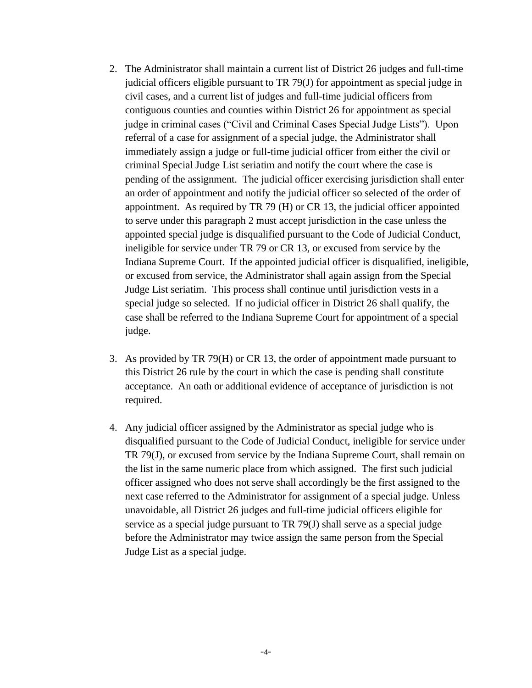- 2. The Administrator shall maintain a current list of District 26 judges and full-time judicial officers eligible pursuant to TR 79(J) for appointment as special judge in civil cases, and a current list of judges and full-time judicial officers from contiguous counties and counties within District 26 for appointment as special judge in criminal cases ("Civil and Criminal Cases Special Judge Lists"). Upon referral of a case for assignment of a special judge, the Administrator shall immediately assign a judge or full-time judicial officer from either the civil or criminal Special Judge List seriatim and notify the court where the case is pending of the assignment. The judicial officer exercising jurisdiction shall enter an order of appointment and notify the judicial officer so selected of the order of appointment. As required by TR 79 (H) or CR 13, the judicial officer appointed to serve under this paragraph 2 must accept jurisdiction in the case unless the appointed special judge is disqualified pursuant to the Code of Judicial Conduct, ineligible for service under TR 79 or CR 13, or excused from service by the Indiana Supreme Court. If the appointed judicial officer is disqualified, ineligible, or excused from service, the Administrator shall again assign from the Special Judge List seriatim. This process shall continue until jurisdiction vests in a special judge so selected. If no judicial officer in District 26 shall qualify, the case shall be referred to the Indiana Supreme Court for appointment of a special judge.
- 3. As provided by TR 79(H) or CR 13, the order of appointment made pursuant to this District 26 rule by the court in which the case is pending shall constitute acceptance. An oath or additional evidence of acceptance of jurisdiction is not required.
- 4. Any judicial officer assigned by the Administrator as special judge who is disqualified pursuant to the Code of Judicial Conduct, ineligible for service under TR 79(J), or excused from service by the Indiana Supreme Court, shall remain on the list in the same numeric place from which assigned. The first such judicial officer assigned who does not serve shall accordingly be the first assigned to the next case referred to the Administrator for assignment of a special judge. Unless unavoidable, all District 26 judges and full-time judicial officers eligible for service as a special judge pursuant to TR 79(J) shall serve as a special judge before the Administrator may twice assign the same person from the Special Judge List as a special judge.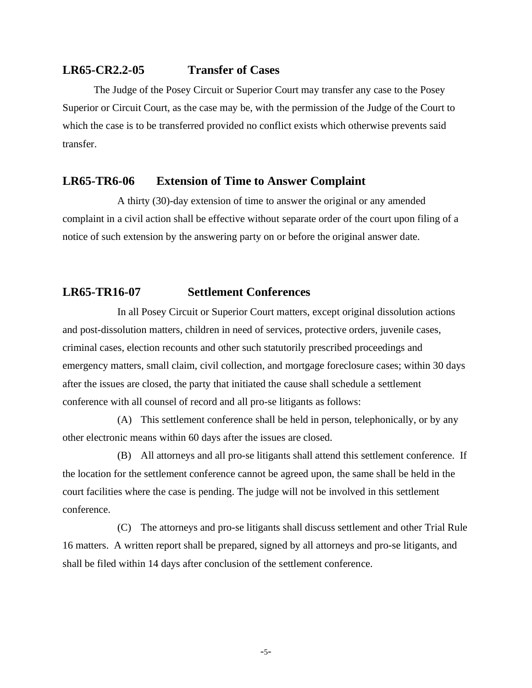### **LR65-CR2.2-05 Transfer of Cases**

The Judge of the Posey Circuit or Superior Court may transfer any case to the Posey Superior or Circuit Court, as the case may be, with the permission of the Judge of the Court to which the case is to be transferred provided no conflict exists which otherwise prevents said transfer.

#### **LR65-TR6-06 Extension of Time to Answer Complaint**

A thirty (30)-day extension of time to answer the original or any amended complaint in a civil action shall be effective without separate order of the court upon filing of a notice of such extension by the answering party on or before the original answer date.

### **LR65-TR16-07 Settlement Conferences**

In all Posey Circuit or Superior Court matters, except original dissolution actions and post-dissolution matters, children in need of services, protective orders, juvenile cases, criminal cases, election recounts and other such statutorily prescribed proceedings and emergency matters, small claim, civil collection, and mortgage foreclosure cases; within 30 days after the issues are closed, the party that initiated the cause shall schedule a settlement conference with all counsel of record and all pro-se litigants as follows:

(A) This settlement conference shall be held in person, telephonically, or by any other electronic means within 60 days after the issues are closed.

(B) All attorneys and all pro-se litigants shall attend this settlement conference. If the location for the settlement conference cannot be agreed upon, the same shall be held in the court facilities where the case is pending. The judge will not be involved in this settlement conference.

(C) The attorneys and pro-se litigants shall discuss settlement and other Trial Rule 16 matters. A written report shall be prepared, signed by all attorneys and pro-se litigants, and shall be filed within 14 days after conclusion of the settlement conference.

-5-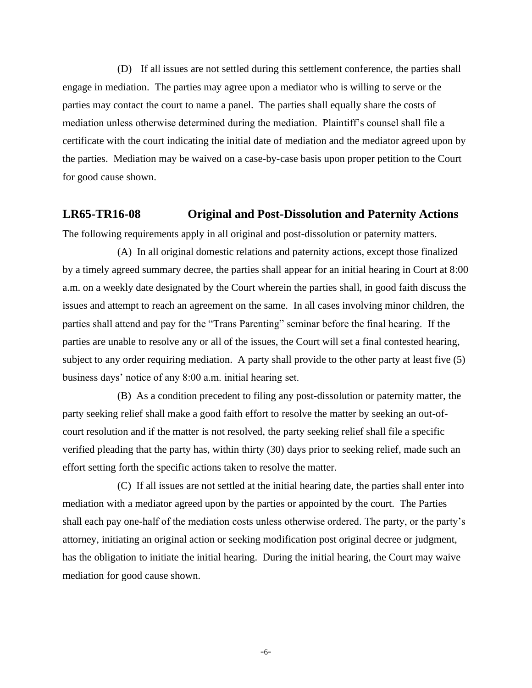(D) If all issues are not settled during this settlement conference, the parties shall engage in mediation. The parties may agree upon a mediator who is willing to serve or the parties may contact the court to name a panel. The parties shall equally share the costs of mediation unless otherwise determined during the mediation. Plaintiff's counsel shall file a certificate with the court indicating the initial date of mediation and the mediator agreed upon by the parties. Mediation may be waived on a case-by-case basis upon proper petition to the Court for good cause shown.

### **LR65-TR16-08 Original and Post-Dissolution and Paternity Actions**

The following requirements apply in all original and post-dissolution or paternity matters.

(A) In all original domestic relations and paternity actions, except those finalized by a timely agreed summary decree, the parties shall appear for an initial hearing in Court at 8:00 a.m. on a weekly date designated by the Court wherein the parties shall, in good faith discuss the issues and attempt to reach an agreement on the same. In all cases involving minor children, the parties shall attend and pay for the "Trans Parenting" seminar before the final hearing. If the parties are unable to resolve any or all of the issues, the Court will set a final contested hearing, subject to any order requiring mediation. A party shall provide to the other party at least five (5) business days' notice of any 8:00 a.m. initial hearing set.

(B) As a condition precedent to filing any post-dissolution or paternity matter, the party seeking relief shall make a good faith effort to resolve the matter by seeking an out-ofcourt resolution and if the matter is not resolved, the party seeking relief shall file a specific verified pleading that the party has, within thirty (30) days prior to seeking relief, made such an effort setting forth the specific actions taken to resolve the matter.

(C) If all issues are not settled at the initial hearing date, the parties shall enter into mediation with a mediator agreed upon by the parties or appointed by the court. The Parties shall each pay one-half of the mediation costs unless otherwise ordered. The party, or the party's attorney, initiating an original action or seeking modification post original decree or judgment, has the obligation to initiate the initial hearing. During the initial hearing, the Court may waive mediation for good cause shown.

-6-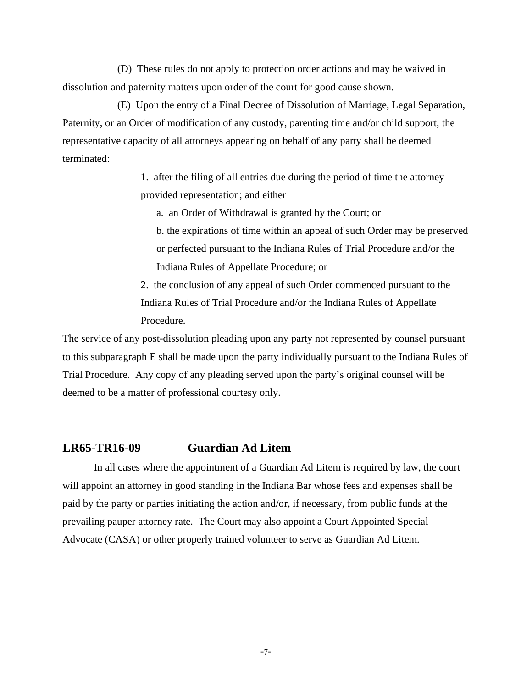(D) These rules do not apply to protection order actions and may be waived in dissolution and paternity matters upon order of the court for good cause shown.

(E) Upon the entry of a Final Decree of Dissolution of Marriage, Legal Separation, Paternity, or an Order of modification of any custody, parenting time and/or child support, the representative capacity of all attorneys appearing on behalf of any party shall be deemed terminated:

> 1. after the filing of all entries due during the period of time the attorney provided representation; and either

a. an Order of Withdrawal is granted by the Court; or

b. the expirations of time within an appeal of such Order may be preserved or perfected pursuant to the Indiana Rules of Trial Procedure and/or the Indiana Rules of Appellate Procedure; or

2. the conclusion of any appeal of such Order commenced pursuant to the Indiana Rules of Trial Procedure and/or the Indiana Rules of Appellate Procedure.

The service of any post-dissolution pleading upon any party not represented by counsel pursuant to this subparagraph E shall be made upon the party individually pursuant to the Indiana Rules of Trial Procedure. Any copy of any pleading served upon the party's original counsel will be deemed to be a matter of professional courtesy only.

#### **LR65-TR16-09 Guardian Ad Litem**

In all cases where the appointment of a Guardian Ad Litem is required by law, the court will appoint an attorney in good standing in the Indiana Bar whose fees and expenses shall be paid by the party or parties initiating the action and/or, if necessary, from public funds at the prevailing pauper attorney rate. The Court may also appoint a Court Appointed Special Advocate (CASA) or other properly trained volunteer to serve as Guardian Ad Litem.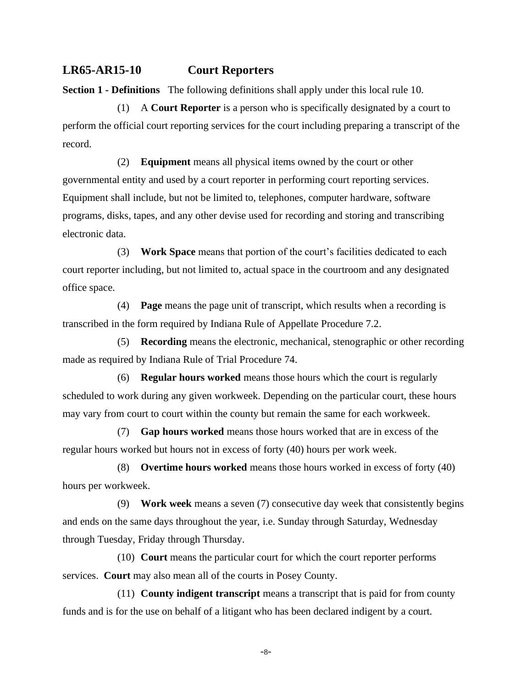### **LR65-AR15-10 Court Reporters**

**Section 1 - Definitions** The following definitions shall apply under this local rule 10.

(1) A **Court Reporter** is a person who is specifically designated by a court to perform the official court reporting services for the court including preparing a transcript of the record.

(2) **Equipment** means all physical items owned by the court or other governmental entity and used by a court reporter in performing court reporting services. Equipment shall include, but not be limited to, telephones, computer hardware, software programs, disks, tapes, and any other devise used for recording and storing and transcribing electronic data.

(3) **Work Space** means that portion of the court's facilities dedicated to each court reporter including, but not limited to, actual space in the courtroom and any designated office space.

(4) **Page** means the page unit of transcript, which results when a recording is transcribed in the form required by Indiana Rule of Appellate Procedure 7.2.

(5) **Recording** means the electronic, mechanical, stenographic or other recording made as required by Indiana Rule of Trial Procedure 74.

(6) **Regular hours worked** means those hours which the court is regularly scheduled to work during any given workweek. Depending on the particular court, these hours may vary from court to court within the county but remain the same for each workweek.

(7) **Gap hours worked** means those hours worked that are in excess of the regular hours worked but hours not in excess of forty (40) hours per work week.

(8) **Overtime hours worked** means those hours worked in excess of forty (40) hours per workweek.

(9) **Work week** means a seven (7) consecutive day week that consistently begins and ends on the same days throughout the year, i.e. Sunday through Saturday, Wednesday through Tuesday, Friday through Thursday.

(10) **Court** means the particular court for which the court reporter performs services. **Court** may also mean all of the courts in Posey County.

(11) **County indigent transcript** means a transcript that is paid for from county funds and is for the use on behalf of a litigant who has been declared indigent by a court.

-8-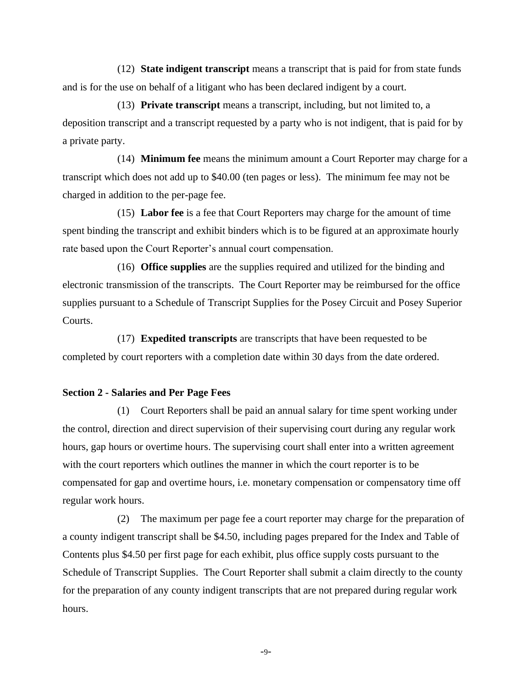(12) **State indigent transcript** means a transcript that is paid for from state funds and is for the use on behalf of a litigant who has been declared indigent by a court.

(13) **Private transcript** means a transcript, including, but not limited to, a deposition transcript and a transcript requested by a party who is not indigent, that is paid for by a private party.

(14) **Minimum fee** means the minimum amount a Court Reporter may charge for a transcript which does not add up to \$40.00 (ten pages or less). The minimum fee may not be charged in addition to the per-page fee.

(15) **Labor fee** is a fee that Court Reporters may charge for the amount of time spent binding the transcript and exhibit binders which is to be figured at an approximate hourly rate based upon the Court Reporter's annual court compensation.

(16) **Office supplies** are the supplies required and utilized for the binding and electronic transmission of the transcripts. The Court Reporter may be reimbursed for the office supplies pursuant to a Schedule of Transcript Supplies for the Posey Circuit and Posey Superior Courts.

(17) **Expedited transcripts** are transcripts that have been requested to be completed by court reporters with a completion date within 30 days from the date ordered.

#### **Section 2 - Salaries and Per Page Fees**

(1) Court Reporters shall be paid an annual salary for time spent working under the control, direction and direct supervision of their supervising court during any regular work hours, gap hours or overtime hours. The supervising court shall enter into a written agreement with the court reporters which outlines the manner in which the court reporter is to be compensated for gap and overtime hours, i.e. monetary compensation or compensatory time off regular work hours.

(2) The maximum per page fee a court reporter may charge for the preparation of a county indigent transcript shall be \$4.50, including pages prepared for the Index and Table of Contents plus \$4.50 per first page for each exhibit, plus office supply costs pursuant to the Schedule of Transcript Supplies. The Court Reporter shall submit a claim directly to the county for the preparation of any county indigent transcripts that are not prepared during regular work hours.

-9-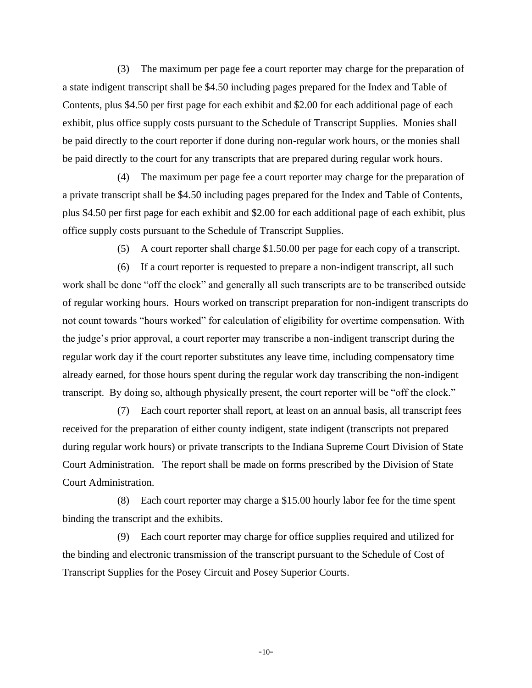(3) The maximum per page fee a court reporter may charge for the preparation of a state indigent transcript shall be \$4.50 including pages prepared for the Index and Table of Contents, plus \$4.50 per first page for each exhibit and \$2.00 for each additional page of each exhibit, plus office supply costs pursuant to the Schedule of Transcript Supplies. Monies shall be paid directly to the court reporter if done during non-regular work hours, or the monies shall be paid directly to the court for any transcripts that are prepared during regular work hours.

(4) The maximum per page fee a court reporter may charge for the preparation of a private transcript shall be \$4.50 including pages prepared for the Index and Table of Contents, plus \$4.50 per first page for each exhibit and \$2.00 for each additional page of each exhibit, plus office supply costs pursuant to the Schedule of Transcript Supplies.

(5) A court reporter shall charge \$1.50.00 per page for each copy of a transcript.

(6) If a court reporter is requested to prepare a non-indigent transcript, all such work shall be done "off the clock" and generally all such transcripts are to be transcribed outside of regular working hours. Hours worked on transcript preparation for non-indigent transcripts do not count towards "hours worked" for calculation of eligibility for overtime compensation. With the judge's prior approval, a court reporter may transcribe a non-indigent transcript during the regular work day if the court reporter substitutes any leave time, including compensatory time already earned, for those hours spent during the regular work day transcribing the non-indigent transcript. By doing so, although physically present, the court reporter will be "off the clock."

(7) Each court reporter shall report, at least on an annual basis, all transcript fees received for the preparation of either county indigent, state indigent (transcripts not prepared during regular work hours) or private transcripts to the Indiana Supreme Court Division of State Court Administration. The report shall be made on forms prescribed by the Division of State Court Administration.

(8) Each court reporter may charge a \$15.00 hourly labor fee for the time spent binding the transcript and the exhibits.

(9) Each court reporter may charge for office supplies required and utilized for the binding and electronic transmission of the transcript pursuant to the Schedule of Cost of Transcript Supplies for the Posey Circuit and Posey Superior Courts.

 $-10-$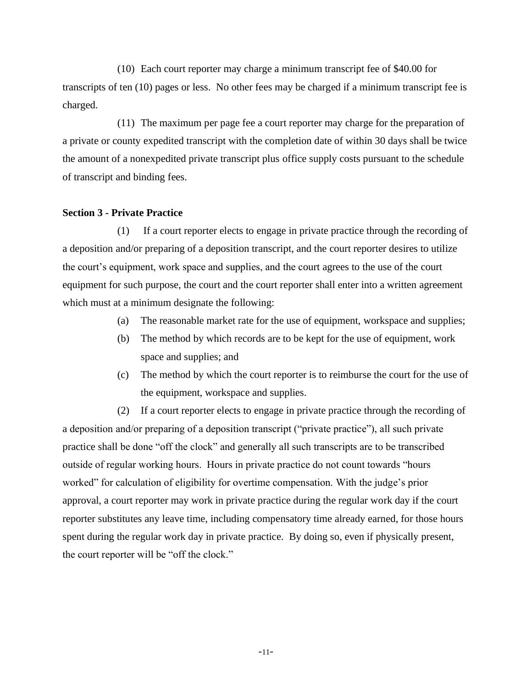(10) Each court reporter may charge a minimum transcript fee of \$40.00 for transcripts of ten (10) pages or less. No other fees may be charged if a minimum transcript fee is charged.

(11) The maximum per page fee a court reporter may charge for the preparation of a private or county expedited transcript with the completion date of within 30 days shall be twice the amount of a nonexpedited private transcript plus office supply costs pursuant to the schedule of transcript and binding fees.

#### **Section 3 - Private Practice**

(1) If a court reporter elects to engage in private practice through the recording of a deposition and/or preparing of a deposition transcript, and the court reporter desires to utilize the court's equipment, work space and supplies, and the court agrees to the use of the court equipment for such purpose, the court and the court reporter shall enter into a written agreement which must at a minimum designate the following:

- (a) The reasonable market rate for the use of equipment, workspace and supplies;
- (b) The method by which records are to be kept for the use of equipment, work space and supplies; and
- (c) The method by which the court reporter is to reimburse the court for the use of the equipment, workspace and supplies.

(2) If a court reporter elects to engage in private practice through the recording of a deposition and/or preparing of a deposition transcript ("private practice"), all such private practice shall be done "off the clock" and generally all such transcripts are to be transcribed outside of regular working hours. Hours in private practice do not count towards "hours worked" for calculation of eligibility for overtime compensation. With the judge's prior approval, a court reporter may work in private practice during the regular work day if the court reporter substitutes any leave time, including compensatory time already earned, for those hours spent during the regular work day in private practice. By doing so, even if physically present, the court reporter will be "off the clock."